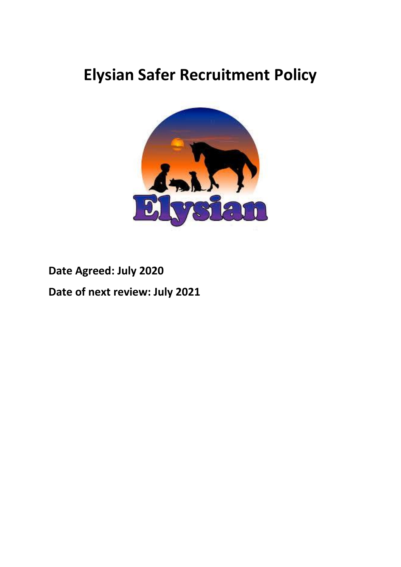# **Elysian Safer Recruitment Policy**



**Date Agreed: July 2020**

**Date of next review: July 2021**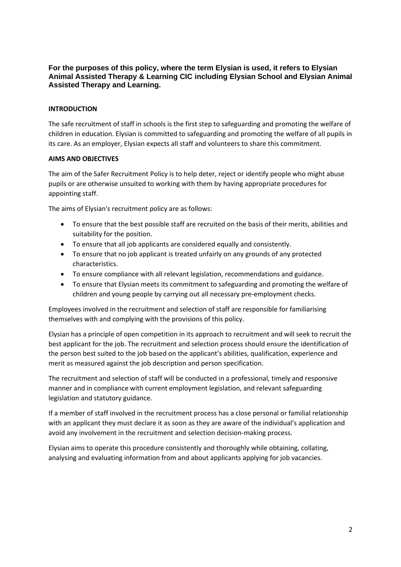# **For the purposes of this policy, where the term Elysian is used, it refers to Elysian Animal Assisted Therapy & Learning CIC including Elysian School and Elysian Animal Assisted Therapy and Learning.**

# **INTRODUCTION**

The safe recruitment of staff in schools is the first step to safeguarding and promoting the welfare of children in education. Elysian is committed to safeguarding and promoting the welfare of all pupils in its care. As an employer, Elysian expects all staff and volunteers to share this commitment.

#### **AIMS AND OBJECTIVES**

The aim of the Safer Recruitment Policy is to help deter, reject or identify people who might abuse pupils or are otherwise unsuited to working with them by having appropriate procedures for appointing staff.

The aims of Elysian's recruitment policy are as follows:

- To ensure that the best possible staff are recruited on the basis of their merits, abilities and suitability for the position.
- To ensure that all job applicants are considered equally and consistently.
- To ensure that no job applicant is treated unfairly on any grounds of any protected characteristics.
- To ensure compliance with all relevant legislation, recommendations and guidance.
- To ensure that Elysian meets its commitment to safeguarding and promoting the welfare of children and young people by carrying out all necessary pre-employment checks.

Employees involved in the recruitment and selection of staff are responsible for familiarising themselves with and complying with the provisions of this policy.

Elysian has a principle of open competition in its approach to recruitment and will seek to recruit the best applicant for the job. The recruitment and selection process should ensure the identification of the person best suited to the job based on the applicant's abilities, qualification, experience and merit as measured against the job description and person specification.

The recruitment and selection of staff will be conducted in a professional, timely and responsive manner and in compliance with current employment legislation, and relevant safeguarding legislation and statutory guidance.

If a member of staff involved in the recruitment process has a close personal or familial relationship with an applicant they must declare it as soon as they are aware of the individual's application and avoid any involvement in the recruitment and selection decision-making process.

Elysian aims to operate this procedure consistently and thoroughly while obtaining, collating, analysing and evaluating information from and about applicants applying for job vacancies.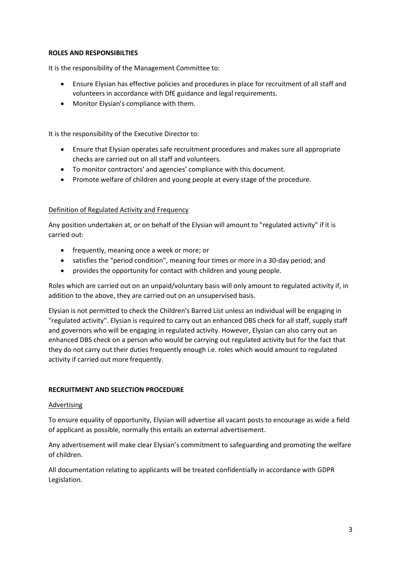#### **ROLES AND RESPONSIBILTIES**

It is the responsibility of the Management Committee to:

- Ensure Elysian has effective policies and procedures in place for recruitment of all staff and volunteers in accordance with DfE guidance and legal requirements.
- Monitor Elysian's compliance with them.

It is the responsibility of the Executive Director to:

- Ensure that Elysian operates safe recruitment procedures and makes sure all appropriate checks are carried out on all staff and volunteers.
- To monitor contractors' and agencies' compliance with this document.
- Promote welfare of children and young people at every stage of the procedure.

#### Definition of Regulated Activity and Frequency

Any position undertaken at, or on behalf of the Elysian will amount to "regulated activity" if it is carried out:

- frequently, meaning once a week or more; or
- satisfies the "period condition", meaning four times or more in a 30-day period; and
- provides the opportunity for contact with children and young people.

Roles which are carried out on an unpaid/voluntary basis will only amount to regulated activity if, in addition to the above, they are carried out on an unsupervised basis.

Elysian is not permitted to check the Children's Barred List unless an individual will be engaging in "regulated activity". Elysian is required to carry out an enhanced DBS check for all staff, supply staff and governors who will be engaging in regulated activity. However, Elysian can also carry out an enhanced DBS check on a person who would be carrying out regulated activity but for the fact that they do not carry out their duties frequently enough i.e. roles which would amount to regulated activity if carried out more frequently.

#### **RECRUITMENT AND SELECTION PROCEDURE**

#### **Advertising**

To ensure equality of opportunity, Elysian will advertise all vacant posts to encourage as wide a field of applicant as possible, normally this entails an external advertisement.

Any advertisement will make clear Elysian's commitment to safeguarding and promoting the welfare of children.

All documentation relating to applicants will be treated confidentially in accordance with GDPR Legislation.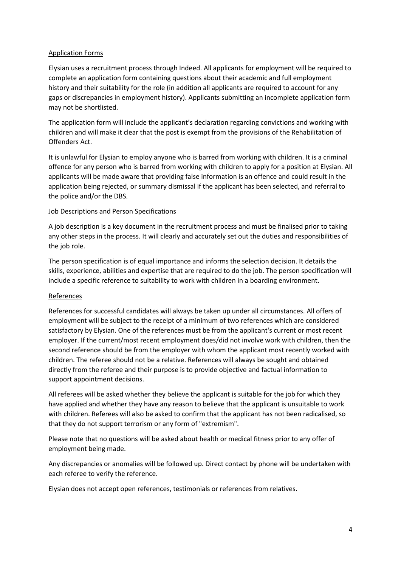#### Application Forms

Elysian uses a recruitment process through Indeed. All applicants for employment will be required to complete an application form containing questions about their academic and full employment history and their suitability for the role (in addition all applicants are required to account for any gaps or discrepancies in employment history). Applicants submitting an incomplete application form may not be shortlisted.

The application form will include the applicant's declaration regarding convictions and working with children and will make it clear that the post is exempt from the provisions of the Rehabilitation of Offenders Act.

It is unlawful for Elysian to employ anyone who is barred from working with children. It is a criminal offence for any person who is barred from working with children to apply for a position at Elysian. All applicants will be made aware that providing false information is an offence and could result in the application being rejected, or summary dismissal if the applicant has been selected, and referral to the police and/or the DBS.

#### Job Descriptions and Person Specifications

A job description is a key document in the recruitment process and must be finalised prior to taking any other steps in the process. It will clearly and accurately set out the duties and responsibilities of the job role.

The person specification is of equal importance and informs the selection decision. It details the skills, experience, abilities and expertise that are required to do the job. The person specification will include a specific reference to suitability to work with children in a boarding environment.

#### References

References for successful candidates will always be taken up under all circumstances. All offers of employment will be subject to the receipt of a minimum of two references which are considered satisfactory by Elysian. One of the references must be from the applicant's current or most recent employer. If the current/most recent employment does/did not involve work with children, then the second reference should be from the employer with whom the applicant most recently worked with children. The referee should not be a relative. References will always be sought and obtained directly from the referee and their purpose is to provide objective and factual information to support appointment decisions.

All referees will be asked whether they believe the applicant is suitable for the job for which they have applied and whether they have any reason to believe that the applicant is unsuitable to work with children. Referees will also be asked to confirm that the applicant has not been radicalised, so that they do not support terrorism or any form of "extremism".

Please note that no questions will be asked about health or medical fitness prior to any offer of employment being made.

Any discrepancies or anomalies will be followed up. Direct contact by phone will be undertaken with each referee to verify the reference.

Elysian does not accept open references, testimonials or references from relatives.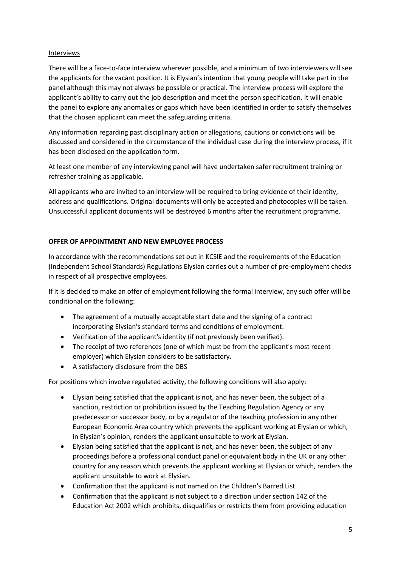#### Interviews

There will be a face-to-face interview wherever possible, and a minimum of two interviewers will see the applicants for the vacant position. It is Elysian's intention that young people will take part in the panel although this may not always be possible or practical. The interview process will explore the applicant's ability to carry out the job description and meet the person specification. It will enable the panel to explore any anomalies or gaps which have been identified in order to satisfy themselves that the chosen applicant can meet the safeguarding criteria.

Any information regarding past disciplinary action or allegations, cautions or convictions will be discussed and considered in the circumstance of the individual case during the interview process, if it has been disclosed on the application form.

At least one member of any interviewing panel will have undertaken safer recruitment training or refresher training as applicable.

All applicants who are invited to an interview will be required to bring evidence of their identity, address and qualifications. Original documents will only be accepted and photocopies will be taken. Unsuccessful applicant documents will be destroyed 6 months after the recruitment programme.

# **OFFER OF APPOINTMENT AND NEW EMPLOYEE PROCESS**

In accordance with the recommendations set out in KCSIE and the requirements of the Education (Independent School Standards) Regulations Elysian carries out a number of pre-employment checks in respect of all prospective employees.

If it is decided to make an offer of employment following the formal interview, any such offer will be conditional on the following:

- The agreement of a mutually acceptable start date and the signing of a contract incorporating Elysian's standard terms and conditions of employment.
- Verification of the applicant's identity (if not previously been verified).
- The receipt of two references (one of which must be from the applicant's most recent employer) which Elysian considers to be satisfactory.
- A satisfactory disclosure from the DBS

For positions which involve regulated activity, the following conditions will also apply:

- Elysian being satisfied that the applicant is not, and has never been, the subject of a sanction, restriction or prohibition issued by the Teaching Regulation Agency or any predecessor or successor body, or by a regulator of the teaching profession in any other European Economic Area country which prevents the applicant working at Elysian or which, in Elysian's opinion, renders the applicant unsuitable to work at Elysian.
- Elysian being satisfied that the applicant is not, and has never been, the subject of any proceedings before a professional conduct panel or equivalent body in the UK or any other country for any reason which prevents the applicant working at Elysian or which, renders the applicant unsuitable to work at Elysian.
- Confirmation that the applicant is not named on the Children's Barred List.
- Confirmation that the applicant is not subject to a direction under section 142 of the Education Act 2002 which prohibits, disqualifies or restricts them from providing education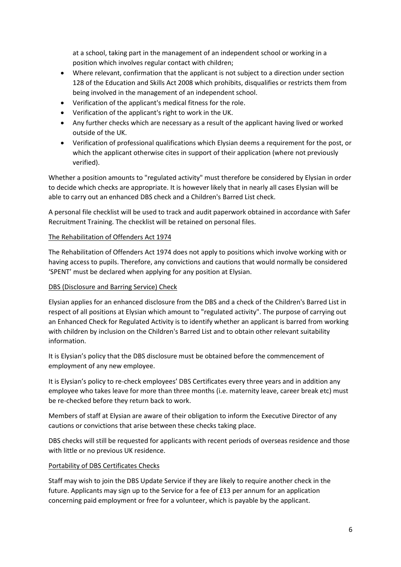at a school, taking part in the management of an independent school or working in a position which involves regular contact with children;

- Where relevant, confirmation that the applicant is not subject to a direction under section 128 of the Education and Skills Act 2008 which prohibits, disqualifies or restricts them from being involved in the management of an independent school.
- Verification of the applicant's medical fitness for the role.
- Verification of the applicant's right to work in the UK.
- Any further checks which are necessary as a result of the applicant having lived or worked outside of the UK.
- Verification of professional qualifications which Elysian deems a requirement for the post, or which the applicant otherwise cites in support of their application (where not previously verified).

Whether a position amounts to "regulated activity" must therefore be considered by Elysian in order to decide which checks are appropriate. It is however likely that in nearly all cases Elysian will be able to carry out an enhanced DBS check and a Children's Barred List check.

A personal file checklist will be used to track and audit paperwork obtained in accordance with Safer Recruitment Training. The checklist will be retained on personal files.

# The Rehabilitation of Offenders Act 1974

The Rehabilitation of Offenders Act 1974 does not apply to positions which involve working with or having access to pupils. Therefore, any convictions and cautions that would normally be considered 'SPENT' must be declared when applying for any position at Elysian.

### DBS (Disclosure and Barring Service) Check

Elysian applies for an enhanced disclosure from the DBS and a check of the Children's Barred List in respect of all positions at Elysian which amount to "regulated activity". The purpose of carrying out an Enhanced Check for Regulated Activity is to identify whether an applicant is barred from working with children by inclusion on the Children's Barred List and to obtain other relevant suitability information.

It is Elysian's policy that the DBS disclosure must be obtained before the commencement of employment of any new employee.

It is Elysian's policy to re-check employees' DBS Certificates every three years and in addition any employee who takes leave for more than three months (i.e. maternity leave, career break etc) must be re-checked before they return back to work.

Members of staff at Elysian are aware of their obligation to inform the Executive Director of any cautions or convictions that arise between these checks taking place.

DBS checks will still be requested for applicants with recent periods of overseas residence and those with little or no previous UK residence.

#### Portability of DBS Certificates Checks

Staff may wish to join the DBS Update Service if they are likely to require another check in the future. Applicants may sign up to the Service for a fee of £13 per annum for an application concerning paid employment or free for a volunteer, which is payable by the applicant.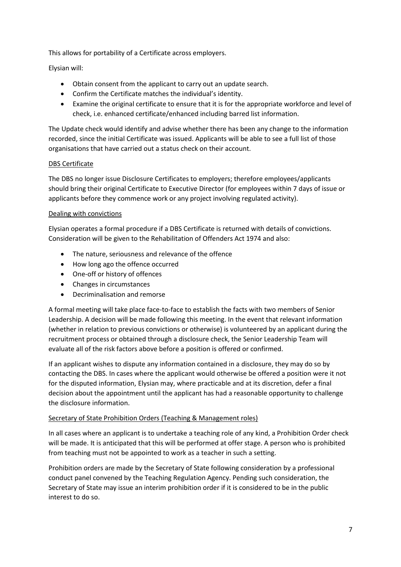This allows for portability of a Certificate across employers.

Elysian will:

- Obtain consent from the applicant to carry out an update search.
- Confirm the Certificate matches the individual's identity.
- Examine the original certificate to ensure that it is for the appropriate workforce and level of check, i.e. enhanced certificate/enhanced including barred list information.

The Update check would identify and advise whether there has been any change to the information recorded, since the initial Certificate was issued. Applicants will be able to see a full list of those organisations that have carried out a status check on their account.

# DBS Certificate

The DBS no longer issue Disclosure Certificates to employers; therefore employees/applicants should bring their original Certificate to Executive Director (for employees within 7 days of issue or applicants before they commence work or any project involving regulated activity).

# Dealing with convictions

Elysian operates a formal procedure if a DBS Certificate is returned with details of convictions. Consideration will be given to the Rehabilitation of Offenders Act 1974 and also:

- The nature, seriousness and relevance of the offence
- How long ago the offence occurred
- One-off or history of offences
- Changes in circumstances
- Decriminalisation and remorse

A formal meeting will take place face-to-face to establish the facts with two members of Senior Leadership. A decision will be made following this meeting. In the event that relevant information (whether in relation to previous convictions or otherwise) is volunteered by an applicant during the recruitment process or obtained through a disclosure check, the Senior Leadership Team will evaluate all of the risk factors above before a position is offered or confirmed.

If an applicant wishes to dispute any information contained in a disclosure, they may do so by contacting the DBS. In cases where the applicant would otherwise be offered a position were it not for the disputed information, Elysian may, where practicable and at its discretion, defer a final decision about the appointment until the applicant has had a reasonable opportunity to challenge the disclosure information.

# Secretary of State Prohibition Orders (Teaching & Management roles)

In all cases where an applicant is to undertake a teaching role of any kind, a Prohibition Order check will be made. It is anticipated that this will be performed at offer stage. A person who is prohibited from teaching must not be appointed to work as a teacher in such a setting.

Prohibition orders are made by the Secretary of State following consideration by a professional conduct panel convened by the Teaching Regulation Agency. Pending such consideration, the Secretary of State may issue an interim prohibition order if it is considered to be in the public interest to do so.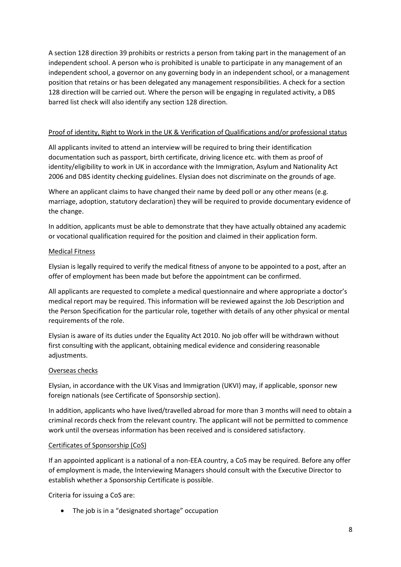A section 128 direction 39 prohibits or restricts a person from taking part in the management of an independent school. A person who is prohibited is unable to participate in any management of an independent school, a governor on any governing body in an independent school, or a management position that retains or has been delegated any management responsibilities. A check for a section 128 direction will be carried out. Where the person will be engaging in regulated activity, a DBS barred list check will also identify any section 128 direction.

### Proof of identity, Right to Work in the UK & Verification of Qualifications and/or professional status

All applicants invited to attend an interview will be required to bring their identification documentation such as passport, birth certificate, driving licence etc. with them as proof of identity/eligibility to work in UK in accordance with the Immigration, Asylum and Nationality Act 2006 and DBS identity checking guidelines. Elysian does not discriminate on the grounds of age.

Where an applicant claims to have changed their name by deed poll or any other means (e.g. marriage, adoption, statutory declaration) they will be required to provide documentary evidence of the change.

In addition, applicants must be able to demonstrate that they have actually obtained any academic or vocational qualification required for the position and claimed in their application form.

#### Medical Fitness

Elysian is legally required to verify the medical fitness of anyone to be appointed to a post, after an offer of employment has been made but before the appointment can be confirmed.

All applicants are requested to complete a medical questionnaire and where appropriate a doctor's medical report may be required. This information will be reviewed against the Job Description and the Person Specification for the particular role, together with details of any other physical or mental requirements of the role.

Elysian is aware of its duties under the Equality Act 2010. No job offer will be withdrawn without first consulting with the applicant, obtaining medical evidence and considering reasonable adjustments.

# Overseas checks

Elysian, in accordance with the UK Visas and Immigration (UKVI) may, if applicable, sponsor new foreign nationals (see Certificate of Sponsorship section).

In addition, applicants who have lived/travelled abroad for more than 3 months will need to obtain a criminal records check from the relevant country. The applicant will not be permitted to commence work until the overseas information has been received and is considered satisfactory.

#### Certificates of Sponsorship (CoS)

If an appointed applicant is a national of a non-EEA country, a CoS may be required. Before any offer of employment is made, the Interviewing Managers should consult with the Executive Director to establish whether a Sponsorship Certificate is possible.

Criteria for issuing a CoS are:

• The job is in a "designated shortage" occupation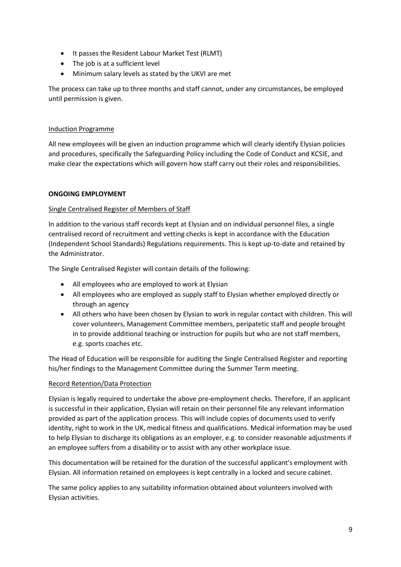- It passes the Resident Labour Market Test (RLMT)
- The job is at a sufficient level
- Minimum salary levels as stated by the UKVI are met

The process can take up to three months and staff cannot, under any circumstances, be employed until permission is given.

# Induction Programme

All new employees will be given an induction programme which will clearly identify Elysian policies and procedures, specifically the Safeguarding Policy including the Code of Conduct and KCSIE, and make clear the expectations which will govern how staff carry out their roles and responsibilities.

# **ONGOING EMPLOYMENT**

# Single Centralised Register of Members of Staff

In addition to the various staff records kept at Elysian and on individual personnel files, a single centralised record of recruitment and vetting checks is kept in accordance with the Education (Independent School Standards) Regulations requirements. This is kept up-to-date and retained by the Administrator.

The Single Centralised Register will contain details of the following:

- All employees who are employed to work at Elysian
- All employees who are employed as supply staff to Elysian whether employed directly or through an agency
- All others who have been chosen by Elysian to work in regular contact with children. This will cover volunteers, Management Committee members, peripatetic staff and people brought in to provide additional teaching or instruction for pupils but who are not staff members, e.g. sports coaches etc.

The Head of Education will be responsible for auditing the Single Centralised Register and reporting his/her findings to the Management Committee during the Summer Term meeting.

# Record Retention/Data Protection

Elysian is legally required to undertake the above pre-employment checks. Therefore, if an applicant is successful in their application, Elysian will retain on their personnel file any relevant information provided as part of the application process. This will include copies of documents used to verify identity, right to work in the UK, medical fitness and qualifications. Medical information may be used to help Elysian to discharge its obligations as an employer, e.g. to consider reasonable adjustments if an employee suffers from a disability or to assist with any other workplace issue.

This documentation will be retained for the duration of the successful applicant's employment with Elysian. All information retained on employees is kept centrally in a locked and secure cabinet.

The same policy applies to any suitability information obtained about volunteers involved with Elysian activities.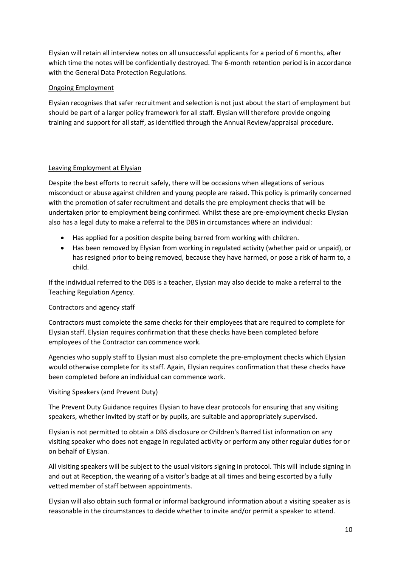Elysian will retain all interview notes on all unsuccessful applicants for a period of 6 months, after which time the notes will be confidentially destroyed. The 6-month retention period is in accordance with the General Data Protection Regulations.

# Ongoing Employment

Elysian recognises that safer recruitment and selection is not just about the start of employment but should be part of a larger policy framework for all staff. Elysian will therefore provide ongoing training and support for all staff, as identified through the Annual Review/appraisal procedure.

# Leaving Employment at Elysian

Despite the best efforts to recruit safely, there will be occasions when allegations of serious misconduct or abuse against children and young people are raised. This policy is primarily concerned with the promotion of safer recruitment and details the pre employment checks that will be undertaken prior to employment being confirmed. Whilst these are pre-employment checks Elysian also has a legal duty to make a referral to the DBS in circumstances where an individual:

- Has applied for a position despite being barred from working with children.
- Has been removed by Elysian from working in regulated activity (whether paid or unpaid), or has resigned prior to being removed, because they have harmed, or pose a risk of harm to, a child.

If the individual referred to the DBS is a teacher, Elysian may also decide to make a referral to the Teaching Regulation Agency.

# Contractors and agency staff

Contractors must complete the same checks for their employees that are required to complete for Elysian staff. Elysian requires confirmation that these checks have been completed before employees of the Contractor can commence work.

Agencies who supply staff to Elysian must also complete the pre-employment checks which Elysian would otherwise complete for its staff. Again, Elysian requires confirmation that these checks have been completed before an individual can commence work.

Visiting Speakers (and Prevent Duty)

The Prevent Duty Guidance requires Elysian to have clear protocols for ensuring that any visiting speakers, whether invited by staff or by pupils, are suitable and appropriately supervised.

Elysian is not permitted to obtain a DBS disclosure or Children's Barred List information on any visiting speaker who does not engage in regulated activity or perform any other regular duties for or on behalf of Elysian.

All visiting speakers will be subject to the usual visitors signing in protocol. This will include signing in and out at Reception, the wearing of a visitor's badge at all times and being escorted by a fully vetted member of staff between appointments.

Elysian will also obtain such formal or informal background information about a visiting speaker as is reasonable in the circumstances to decide whether to invite and/or permit a speaker to attend.